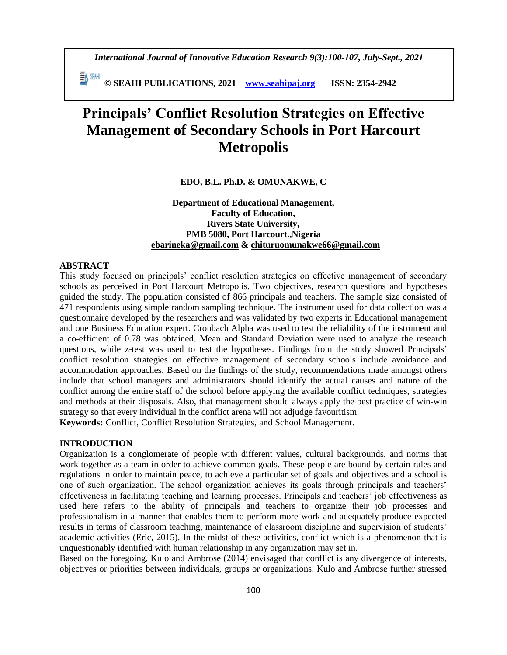*International Journal of Innovative Education Research 9(3):100-107, July-Sept., 2021*

 **© SEAHI PUBLICATIONS, 2021 [www.seahipaj.org](http://www.seahipaj.org/) ISSN: 2354-2942**

# **Principals' Conflict Resolution Strategies on Effective Management of Secondary Schools in Port Harcourt Metropolis**

# **EDO, B.L. Ph.D. & OMUNAKWE, C**

# **Department of Educational Management, Faculty of Education, Rivers State University, PMB 5080, Port Harcourt.,Nigeria [ebarineka@gmail.com](mailto:ebarineka@gmail.com) & [chituruomunakwe66@gmail.com](mailto:chituruomunakwe66@gmail.com)**

## **ABSTRACT**

This study focused on principals' conflict resolution strategies on effective management of secondary schools as perceived in Port Harcourt Metropolis. Two objectives, research questions and hypotheses guided the study. The population consisted of 866 principals and teachers. The sample size consisted of 471 respondents using simple random sampling technique. The instrument used for data collection was a questionnaire developed by the researchers and was validated by two experts in Educational management and one Business Education expert. Cronbach Alpha was used to test the reliability of the instrument and a co-efficient of 0.78 was obtained. Mean and Standard Deviation were used to analyze the research questions, while z-test was used to test the hypotheses. Findings from the study showed Principals' conflict resolution strategies on effective management of secondary schools include avoidance and accommodation approaches. Based on the findings of the study, recommendations made amongst others include that school managers and administrators should identify the actual causes and nature of the conflict among the entire staff of the school before applying the available conflict techniques, strategies and methods at their disposals. Also, that management should always apply the best practice of win-win strategy so that every individual in the conflict arena will not adjudge favouritism

**Keywords:** Conflict, Conflict Resolution Strategies, and School Management.

# **INTRODUCTION**

Organization is a conglomerate of people with different values, cultural backgrounds, and norms that work together as a team in order to achieve common goals. These people are bound by certain rules and regulations in order to maintain peace, to achieve a particular set of goals and objectives and a school is one of such organization. The school organization achieves its goals through principals and teachers' effectiveness in facilitating teaching and learning processes. Principals and teachers' job effectiveness as used here refers to the ability of principals and teachers to organize their job processes and professionalism in a manner that enables them to perform more work and adequately produce expected results in terms of classroom teaching, maintenance of classroom discipline and supervision of students' academic activities (Eric, 2015). In the midst of these activities, conflict which is a phenomenon that is unquestionably identified with human relationship in any organization may set in.

Based on the foregoing, Kulo and Ambrose (2014) envisaged that conflict is any divergence of interests, objectives or priorities between individuals, groups or organizations. Kulo and Ambrose further stressed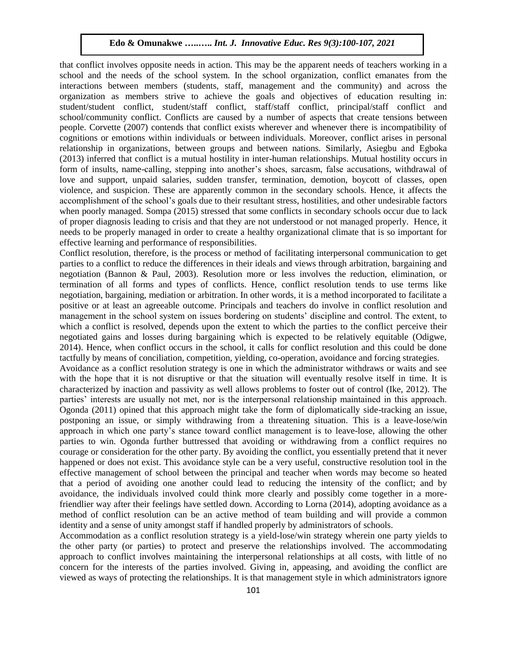that conflict involves opposite needs in action. This may be the apparent needs of teachers working in a school and the needs of the school system. In the school organization, conflict emanates from the interactions between members (students, staff, management and the community) and across the organization as members strive to achieve the goals and objectives of education resulting in: student/student conflict, student/staff conflict, staff/staff conflict, principal/staff conflict and school/community conflict. Conflicts are caused by a number of aspects that create tensions between people. Corvette (2007) contends that conflict exists wherever and whenever there is incompatibility of cognitions or emotions within individuals or between individuals. Moreover, conflict arises in personal relationship in organizations, between groups and between nations. Similarly, Asiegbu and Egboka (2013) inferred that conflict is a mutual hostility in inter-human relationships. Mutual hostility occurs in form of insults, name-calling, stepping into another's shoes, sarcasm, false accusations, withdrawal of love and support, unpaid salaries, sudden transfer, termination, demotion, boycott of classes, open violence, and suspicion. These are apparently common in the secondary schools. Hence, it affects the accomplishment of the school's goals due to their resultant stress, hostilities, and other undesirable factors when poorly managed. Sompa (2015) stressed that some conflicts in secondary schools occur due to lack of proper diagnosis leading to crisis and that they are not understood or not managed properly. Hence, it needs to be properly managed in order to create a healthy organizational climate that is so important for effective learning and performance of responsibilities.

Conflict resolution, therefore, is the process or method of facilitating interpersonal communication to get parties to a conflict to reduce the differences in their ideals and views through arbitration, bargaining and negotiation (Bannon & Paul, 2003). Resolution more or less involves the reduction, elimination, or termination of all forms and types of conflicts. Hence, conflict resolution tends to use terms like negotiation, bargaining, mediation or arbitration. In other words, it is a method incorporated to facilitate a positive or at least an agreeable outcome. Principals and teachers do involve in conflict resolution and management in the school system on issues bordering on students' discipline and control. The extent, to which a conflict is resolved, depends upon the extent to which the parties to the conflict perceive their negotiated gains and losses during bargaining which is expected to be relatively equitable (Odigwe, 2014). Hence, when conflict occurs in the school, it calls for conflict resolution and this could be done tactfully by means of conciliation, competition, yielding, co-operation, avoidance and forcing strategies.

Avoidance as a conflict resolution strategy is one in which the administrator withdraws or waits and see with the hope that it is not disruptive or that the situation will eventually resolve itself in time. It is characterized by inaction and passivity as well allows problems to foster out of control (Ike, 2012). The parties' interests are usually not met, nor is the interpersonal relationship maintained in this approach. Ogonda (2011) opined that this approach might take the form of diplomatically side-tracking an issue, postponing an issue, or simply withdrawing from a threatening situation. This is a leave-lose/win approach in which one party's stance toward conflict management is to leave-lose, allowing the other parties to win. Ogonda further buttressed that avoiding or withdrawing from a conflict requires no courage or consideration for the other party. By avoiding the conflict, you essentially pretend that it never happened or does not exist. This avoidance style can be a very useful, constructive resolution tool in the effective management of school between the principal and teacher when words may become so heated that a period of avoiding one another could lead to reducing the intensity of the conflict; and by avoidance, the individuals involved could think more clearly and possibly come together in a morefriendlier way after their feelings have settled down. According to Lorna (2014), adopting avoidance as a method of conflict resolution can be an active method of team building and will provide a common identity and a sense of unity amongst staff if handled properly by administrators of schools.

Accommodation as a conflict resolution strategy is a yield-lose/win strategy wherein one party yields to the other party (or parties) to protect and preserve the relationships involved. The accommodating approach to conflict involves maintaining the interpersonal relationships at all costs, with little of no concern for the interests of the parties involved. Giving in, appeasing, and avoiding the conflict are viewed as ways of protecting the relationships. It is that management style in which administrators ignore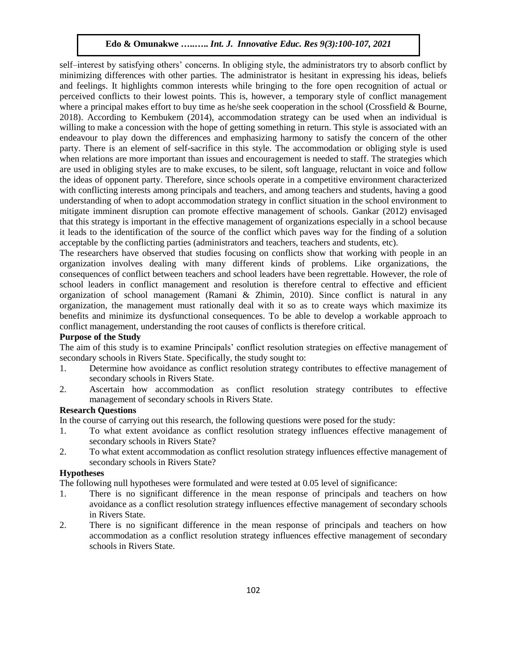self–interest by satisfying others' concerns. In obliging style, the administrators try to absorb conflict by minimizing differences with other parties. The administrator is hesitant in expressing his ideas, beliefs and feelings. It highlights common interests while bringing to the fore open recognition of actual or perceived conflicts to their lowest points. This is, however, a temporary style of conflict management where a principal makes effort to buy time as he/she seek cooperation in the school (Crossfield & Bourne, 2018). According to Kembukem (2014), accommodation strategy can be used when an individual is willing to make a concession with the hope of getting something in return. This style is associated with an endeavour to play down the differences and emphasizing harmony to satisfy the concern of the other party. There is an element of self-sacrifice in this style. The accommodation or obliging style is used when relations are more important than issues and encouragement is needed to staff. The strategies which are used in obliging styles are to make excuses, to be silent, soft language, reluctant in voice and follow the ideas of opponent party. Therefore, since schools operate in a competitive environment characterized with conflicting interests among principals and teachers, and among teachers and students, having a good understanding of when to adopt accommodation strategy in conflict situation in the school environment to mitigate imminent disruption can promote effective management of schools. Gankar (2012) envisaged that this strategy is important in the effective management of organizations especially in a school because it leads to the identification of the source of the conflict which paves way for the finding of a solution acceptable by the conflicting parties (administrators and teachers, teachers and students, etc).

The researchers have observed that studies focusing on conflicts show that working with people in an organization involves dealing with many different kinds of problems. Like organizations, the consequences of conflict between teachers and school leaders have been regrettable. However, the role of school leaders in conflict management and resolution is therefore central to effective and efficient organization of school management (Ramani & Zhimin, 2010). Since conflict is natural in any organization, the management must rationally deal with it so as to create ways which maximize its benefits and minimize its dysfunctional consequences. To be able to develop a workable approach to conflict management, understanding the root causes of conflicts is therefore critical.

# **Purpose of the Study**

The aim of this study is to examine Principals' conflict resolution strategies on effective management of secondary schools in Rivers State. Specifically, the study sought to:

- 1. Determine how avoidance as conflict resolution strategy contributes to effective management of secondary schools in Rivers State.
- 2. Ascertain how accommodation as conflict resolution strategy contributes to effective management of secondary schools in Rivers State.

## **Research Questions**

In the course of carrying out this research, the following questions were posed for the study:

- 1. To what extent avoidance as conflict resolution strategy influences effective management of secondary schools in Rivers State?
- 2. To what extent accommodation as conflict resolution strategy influences effective management of secondary schools in Rivers State?

# **Hypotheses**

The following null hypotheses were formulated and were tested at 0.05 level of significance:

- 1. There is no significant difference in the mean response of principals and teachers on how avoidance as a conflict resolution strategy influences effective management of secondary schools in Rivers State.
- 2. There is no significant difference in the mean response of principals and teachers on how accommodation as a conflict resolution strategy influences effective management of secondary schools in Rivers State.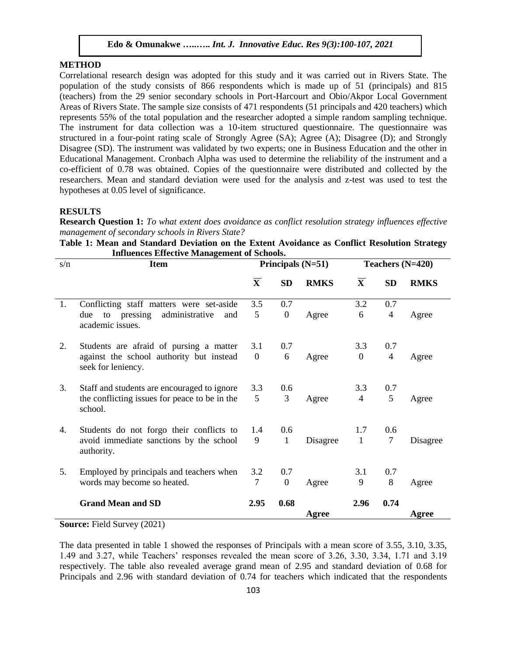## **METHOD**

Correlational research design was adopted for this study and it was carried out in Rivers State. The population of the study consists of 866 respondents which is made up of 51 (principals) and 815 (teachers) from the 29 senior secondary schools in Port-Harcourt and Obio/Akpor Local Government Areas of Rivers State. The sample size consists of 471 respondents (51 principals and 420 teachers) which represents 55% of the total population and the researcher adopted a simple random sampling technique. The instrument for data collection was a 10-item structured questionnaire. The questionnaire was structured in a four-point rating scale of Strongly Agree (SA); Agree (A); Disagree (D); and Strongly Disagree (SD). The instrument was validated by two experts; one in Business Education and the other in Educational Management. Cronbach Alpha was used to determine the reliability of the instrument and a co-efficient of 0.78 was obtained. Copies of the questionnaire were distributed and collected by the researchers. Mean and standard deviation were used for the analysis and z-test was used to test the hypotheses at 0.05 level of significance.

#### **RESULTS**

**Research Question 1:** *To what extent does avoidance as conflict resolution strategy influences effective management of secondary schools in Rivers State?*

|                                                    |  |  |  |  |  |  | Table 1: Mean and Standard Deviation on the Extent Avoidance as Conflict Resolution Strategy |  |  |
|----------------------------------------------------|--|--|--|--|--|--|----------------------------------------------------------------------------------------------|--|--|
| <b>Influences Effective Management of Schools.</b> |  |  |  |  |  |  |                                                                                              |  |  |

| s/n | <b>Item</b>                                                     |                         |                | Principals $(N=51)$ | Teachers $(N=420)$      |                |             |  |
|-----|-----------------------------------------------------------------|-------------------------|----------------|---------------------|-------------------------|----------------|-------------|--|
|     |                                                                 | $\overline{\mathbf{X}}$ | <b>SD</b>      | <b>RMKS</b>         | $\overline{\mathbf{X}}$ | <b>SD</b>      | <b>RMKS</b> |  |
| 1.  | Conflicting staff matters were set-aside                        | 3.5                     | 0.7            |                     | 3.2                     | 0.7            |             |  |
|     | administrative<br>to pressing<br>due<br>and<br>academic issues. | 5                       | $\overline{0}$ | Agree               | 6                       | $\overline{4}$ | Agree       |  |
| 2.  | Students are afraid of pursing a matter                         | 3.1                     | 0.7            |                     | 3.3                     | 0.7            |             |  |
|     | against the school authority but instead<br>seek for leniency.  | $\overline{0}$          | 6              | Agree               | $\theta$                | $\overline{4}$ | Agree       |  |
| 3.  | Staff and students are encouraged to ignore                     | 3.3                     | 0.6            |                     | 3.3                     | 0.7            |             |  |
|     | the conflicting issues for peace to be in the<br>school.        | 5                       | 3              | Agree               | $\overline{4}$          | 5              | Agree       |  |
| 4.  | Students do not forgo their conflicts to                        | 1.4                     | 0.6            |                     | 1.7                     | 0.6            |             |  |
|     | avoid immediate sanctions by the school<br>authority.           | 9                       | 1              | Disagree            | 1                       | $\overline{7}$ | Disagree    |  |
| 5.  | Employed by principals and teachers when                        | 3.2                     | 0.7            |                     | 3.1                     | 0.7            |             |  |
|     | words may become so heated.                                     | $\overline{7}$          | $\overline{0}$ | Agree               | 9                       | 8              | Agree       |  |
|     | <b>Grand Mean and SD</b>                                        | 2.95                    | 0.68           |                     | 2.96                    | 0.74           |             |  |
|     |                                                                 |                         |                | Agree               |                         |                | Agree       |  |

**Source:** Field Survey (2021)

The data presented in table 1 showed the responses of Principals with a mean score of 3.55, 3.10, 3.35, 1.49 and 3.27, while Teachers' responses revealed the mean score of 3.26, 3.30, 3.34, 1.71 and 3.19 respectively. The table also revealed average grand mean of 2.95 and standard deviation of 0.68 for Principals and 2.96 with standard deviation of 0.74 for teachers which indicated that the respondents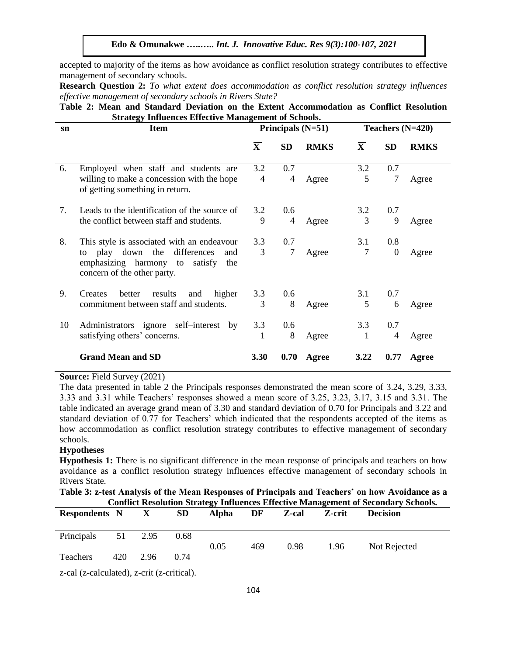accepted to majority of the items as how avoidance as conflict resolution strategy contributes to effective management of secondary schools.

**Research Question 2:** *To what extent does accommodation as conflict resolution strategy influences effective management of secondary schools in Rivers State?*

|                                                             |  |  |  |  |  |  |  |  | Table 2: Mean and Standard Deviation on the Extent Accommodation as Conflict Resolution |  |  |  |
|-------------------------------------------------------------|--|--|--|--|--|--|--|--|-----------------------------------------------------------------------------------------|--|--|--|
| <b>Strategy Influences Effective Management of Schools.</b> |  |  |  |  |  |  |  |  |                                                                                         |  |  |  |

| sn | <b>Item</b>                                                                                                             |                         |                | Principals (N=51) | Teachers $(N=420)$      |              |             |  |
|----|-------------------------------------------------------------------------------------------------------------------------|-------------------------|----------------|-------------------|-------------------------|--------------|-------------|--|
|    |                                                                                                                         | $\overline{\mathbf{X}}$ | <b>SD</b>      | <b>RMKS</b>       | $\overline{\mathbf{X}}$ | <b>SD</b>    | <b>RMKS</b> |  |
| 6. | Employed when staff and students are                                                                                    | 3.2                     | 0.7            |                   | 3.2                     | 0.7          |             |  |
|    | willing to make a concession with the hope<br>of getting something in return.                                           | 4                       | $\overline{4}$ | Agree             | 5                       | 7            | Agree       |  |
| 7. | Leads to the identification of the source of                                                                            | 3.2                     | 0.6            |                   | 3.2                     | 0.7          |             |  |
|    | the conflict between staff and students.                                                                                | 9                       | 4              | Agree             | 3                       | 9            | Agree       |  |
| 8. | This style is associated with an endeavour                                                                              | 3.3                     | 0.7            |                   | 3.1                     | 0.8          |             |  |
|    | play down the<br>differences<br>and<br>to<br>emphasizing harmony<br>satisfy<br>to<br>the<br>concern of the other party. | 3                       | 7              | Agree             | $\overline{7}$          | $\mathbf{0}$ | Agree       |  |
| 9. | better<br>results<br>higher<br>Creates<br>and                                                                           | 3.3                     | 0.6            |                   | 3.1                     | 0.7          |             |  |
|    | commitment between staff and students.                                                                                  | 3                       | 8              | Agree             | 5                       | 6            | Agree       |  |
| 10 | Administrators ignore self-interest<br>by                                                                               | 3.3                     | 0.6            |                   | 3.3                     | 0.7          |             |  |
|    | satisfying others' concerns.                                                                                            |                         | 8              | Agree             | 1                       | 4            | Agree       |  |
|    | <b>Grand Mean and SD</b>                                                                                                | 3.30                    | 0.70           | Agree             | 3.22                    | 0.77         | Agree       |  |

#### **Source:** Field Survey (2021)

The data presented in table 2 the Principals responses demonstrated the mean score of 3.24, 3.29, 3.33, 3.33 and 3.31 while Teachers' responses showed a mean score of 3.25, 3.23, 3.17, 3.15 and 3.31. The table indicated an average grand mean of 3.30 and standard deviation of 0.70 for Principals and 3.22 and standard deviation of 0.77 for Teachers' which indicated that the respondents accepted of the items as how accommodation as conflict resolution strategy contributes to effective management of secondary schools.

## **Hypotheses**

**Hypothesis 1:** There is no significant difference in the mean response of principals and teachers on how avoidance as a conflict resolution strategy influences effective management of secondary schools in Rivers State.

| Table 3: z-test Analysis of the Mean Responses of Principals and Teachers' on how Avoidance as a<br><b>Conflict Resolution Strategy Influences Effective Management of Secondary Schools.</b> |     |              |           |       |     |       |        |                 |  |  |  |
|-----------------------------------------------------------------------------------------------------------------------------------------------------------------------------------------------|-----|--------------|-----------|-------|-----|-------|--------|-----------------|--|--|--|
| <b>Respondents</b> N                                                                                                                                                                          |     | $\mathbf{X}$ | <b>SD</b> | Alpha | DF  | Z-cal | Z-crit | <b>Decision</b> |  |  |  |
|                                                                                                                                                                                               |     |              |           |       |     |       |        |                 |  |  |  |
| Principals                                                                                                                                                                                    |     | 51 2.95      | 0.68      |       |     |       |        |                 |  |  |  |
|                                                                                                                                                                                               |     |              |           | 0.05  | 469 | 0.98  | 1.96   | Not Rejected    |  |  |  |
| Teachers                                                                                                                                                                                      | 420 | 2.96         | 0.74      |       |     |       |        |                 |  |  |  |

z-cal (z-calculated), z-crit (z-critical).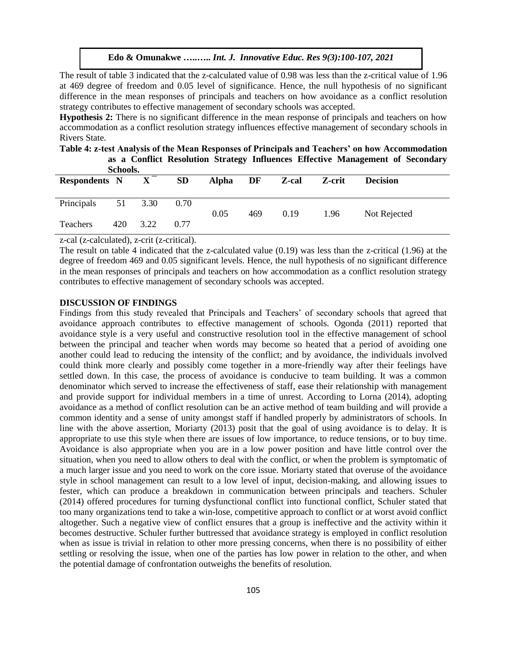The result of table 3 indicated that the z-calculated value of 0.98 was less than the z-critical value of 1.96 at 469 degree of freedom and 0.05 level of significance. Hence, the null hypothesis of no significant difference in the mean responses of principals and teachers on how avoidance as a conflict resolution strategy contributes to effective management of secondary schools was accepted.

**Hypothesis 2:** There is no significant difference in the mean response of principals and teachers on how accommodation as a conflict resolution strategy influences effective management of secondary schools in Rivers State.

**Table 4: z-test Analysis of the Mean Responses of Principals and Teachers' on how Accommodation as a Conflict Resolution Strategy Influences Effective Management of Secondary** 

| Schools.             |     |              |           |              |     |       |        |                 |  |
|----------------------|-----|--------------|-----------|--------------|-----|-------|--------|-----------------|--|
| <b>Respondents N</b> |     | $\mathbf{X}$ | <b>SD</b> | <b>Alpha</b> | DF  | Z-cal | Z-crit | <b>Decision</b> |  |
|                      |     |              |           |              |     |       |        |                 |  |
| Principals           |     | 51 3.30      | 0.70      |              |     |       |        |                 |  |
|                      |     |              |           | 0.05         | 469 | 0.19  | 1.96   | Not Rejected    |  |
| Teachers             | 420 | 3.22         | 0.77      |              |     |       |        |                 |  |

z-cal (z-calculated), z-crit (z-critical).

The result on table 4 indicated that the z-calculated value (0.19) was less than the z-critical (1.96) at the degree of freedom 469 and 0.05 significant levels. Hence, the null hypothesis of no significant difference in the mean responses of principals and teachers on how accommodation as a conflict resolution strategy contributes to effective management of secondary schools was accepted.

#### **DISCUSSION OF FINDINGS**

Findings from this study revealed that Principals and Teachers' of secondary schools that agreed that avoidance approach contributes to effective management of schools. Ogonda (2011) reported that avoidance style is a very useful and constructive resolution tool in the effective management of school between the principal and teacher when words may become so heated that a period of avoiding one another could lead to reducing the intensity of the conflict; and by avoidance, the individuals involved could think more clearly and possibly come together in a more-friendly way after their feelings have settled down. In this case, the process of avoidance is conducive to team building. It was a common denominator which served to increase the effectiveness of staff, ease their relationship with management and provide support for individual members in a time of unrest. According to Lorna (2014), adopting avoidance as a method of conflict resolution can be an active method of team building and will provide a common identity and a sense of unity amongst staff if handled properly by administrators of schools. In line with the above assertion, Moriarty (2013) posit that the goal of using avoidance is to delay. It is appropriate to use this style when there are issues of low importance, to reduce tensions, or to buy time. Avoidance is also appropriate when you are in a low power position and have little control over the situation, when you need to allow others to deal with the conflict, or when the problem is symptomatic of a much larger issue and you need to work on the core issue. Moriarty stated that overuse of the avoidance style in school management can result to a low level of input, decision-making, and allowing issues to fester, which can produce a breakdown in communication between principals and teachers. Schuler (2014) offered procedures for turning dysfunctional conflict into functional conflict, Schuler stated that too many organizations tend to take a win-lose, competitive approach to conflict or at worst avoid conflict altogether. Such a negative view of conflict ensures that a group is ineffective and the activity within it becomes destructive. Schuler further buttressed that avoidance strategy is employed in conflict resolution when as issue is trivial in relation to other more pressing concerns, when there is no possibility of either settling or resolving the issue, when one of the parties has low power in relation to the other, and when the potential damage of confrontation outweighs the benefits of resolution.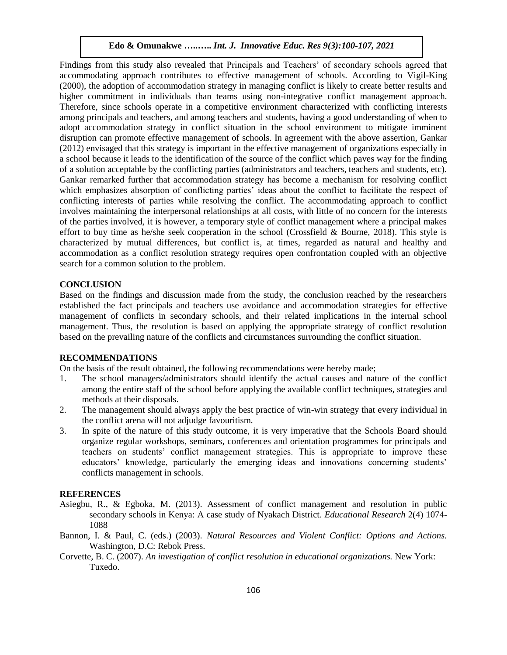Findings from this study also revealed that Principals and Teachers' of secondary schools agreed that accommodating approach contributes to effective management of schools. According to Vigil-King (2000), the adoption of accommodation strategy in managing conflict is likely to create better results and higher commitment in individuals than teams using non-integrative conflict management approach. Therefore, since schools operate in a competitive environment characterized with conflicting interests among principals and teachers, and among teachers and students, having a good understanding of when to adopt accommodation strategy in conflict situation in the school environment to mitigate imminent disruption can promote effective management of schools. In agreement with the above assertion, Gankar (2012) envisaged that this strategy is important in the effective management of organizations especially in a school because it leads to the identification of the source of the conflict which paves way for the finding of a solution acceptable by the conflicting parties (administrators and teachers, teachers and students, etc). Gankar remarked further that accommodation strategy has become a mechanism for resolving conflict which emphasizes absorption of conflicting parties' ideas about the conflict to facilitate the respect of conflicting interests of parties while resolving the conflict. The accommodating approach to conflict involves maintaining the interpersonal relationships at all costs, with little of no concern for the interests of the parties involved, it is however, a temporary style of conflict management where a principal makes effort to buy time as he/she seek cooperation in the school (Crossfield  $&$  Bourne, 2018). This style is characterized by mutual differences, but conflict is, at times, regarded as natural and healthy and accommodation as a conflict resolution strategy requires open confrontation coupled with an objective search for a common solution to the problem.

#### **CONCLUSION**

Based on the findings and discussion made from the study, the conclusion reached by the researchers established the fact principals and teachers use avoidance and accommodation strategies for effective management of conflicts in secondary schools, and their related implications in the internal school management. Thus, the resolution is based on applying the appropriate strategy of conflict resolution based on the prevailing nature of the conflicts and circumstances surrounding the conflict situation.

#### **RECOMMENDATIONS**

On the basis of the result obtained, the following recommendations were hereby made;

- 1. The school managers/administrators should identify the actual causes and nature of the conflict among the entire staff of the school before applying the available conflict techniques, strategies and methods at their disposals.
- 2. The management should always apply the best practice of win-win strategy that every individual in the conflict arena will not adjudge favouritism.
- 3. In spite of the nature of this study outcome, it is very imperative that the Schools Board should organize regular workshops, seminars, conferences and orientation programmes for principals and teachers on students' conflict management strategies. This is appropriate to improve these educators' knowledge, particularly the emerging ideas and innovations concerning students' conflicts management in schools.

## **REFERENCES**

- Asiegbu, R., & Egboka, M. (2013). Assessment of conflict management and resolution in public secondary schools in Kenya: A case study of Nyakach District. *Educational Research* 2(4) 1074- 1088
- Bannon, I. & Paul, C. (eds.) (2003). *Natural Resources and Violent Conflict: Options and Actions.* Washington, D.C: Rebok Press.
- Corvette, B. C. (2007). *An investigation of conflict resolution in educational organizations.* New York: Tuxedo.